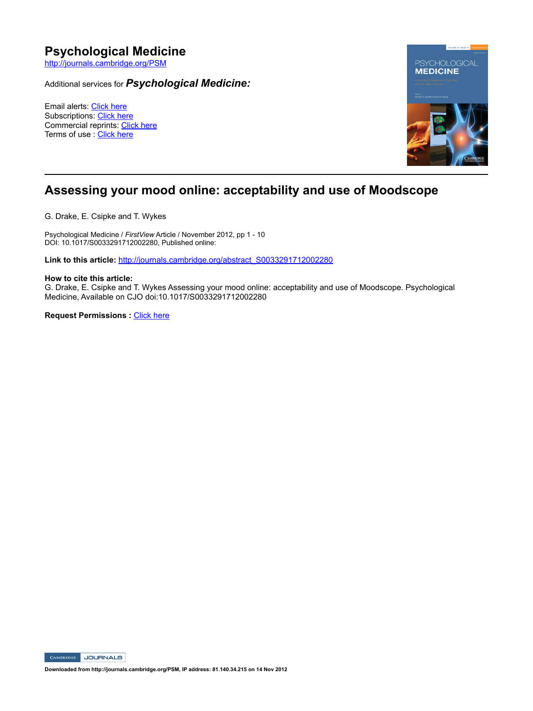# **Psychological Medicine**

http://journals.cambridge.org/PSM

Additional services for *Psychological Medicine:*

Email alerts: Click here Subscriptions: Click here Commercial reprints: Click here Terms of use : Click here



# **Assessing your mood online: acceptability and use of Moodscope**

G. Drake, E. Csipke and T. Wykes

Psychological Medicine / *FirstView* Article / November 2012, pp 1 - 10 DOI: 10.1017/S0033291712002280, Published online:

Link to this article: http://journals.cambridge.org/abstract\_S0033291712002280

# **How to cite this article:**

G. Drake, E. Csipke and T. Wykes Assessing your mood online: acceptability and use of Moodscope. Psychological Medicine, Available on CJO doi:10.1017/S0033291712002280

**Request Permissions : Click here** 

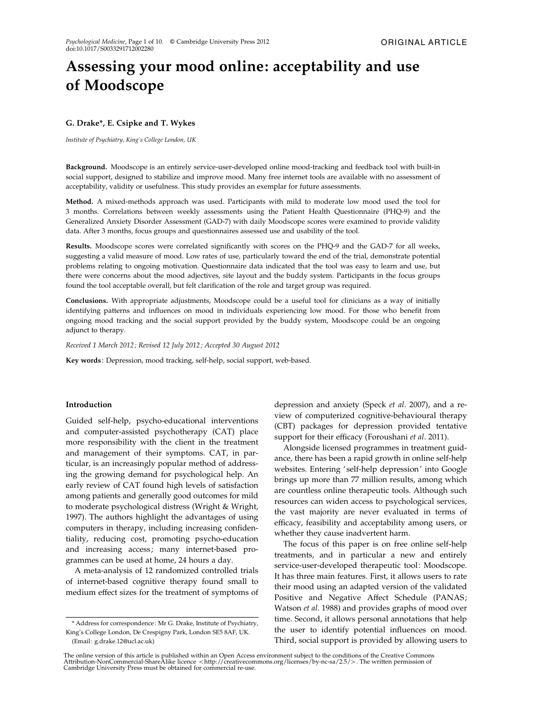# Assessing your mood online: acceptability and use of Moodscope

# G. Drake\*, E. Csipke and T. Wykes

Institute of Psychiatry, King's College London, UK

Background. Moodscope is an entirely service-user-developed online mood-tracking and feedback tool with built-in social support, designed to stabilize and improve mood. Many free internet tools are available with no assessment of acceptability, validity or usefulness. This study provides an exemplar for future assessments.

Method. A mixed-methods approach was used. Participants with mild to moderate low mood used the tool for 3 months. Correlations between weekly assessments using the Patient Health Questionnaire (PHQ-9) and the Generalized Anxiety Disorder Assessment (GAD-7) with daily Moodscope scores were examined to provide validity data. After 3 months, focus groups and questionnaires assessed use and usability of the tool.

Results. Moodscope scores were correlated significantly with scores on the PHQ-9 and the GAD-7 for all weeks, suggesting a valid measure of mood. Low rates of use, particularly toward the end of the trial, demonstrate potential problems relating to ongoing motivation. Questionnaire data indicated that the tool was easy to learn and use, but there were concerns about the mood adjectives, site layout and the buddy system. Participants in the focus groups found the tool acceptable overall, but felt clarification of the role and target group was required.

Conclusions. With appropriate adjustments, Moodscope could be a useful tool for clinicians as a way of initially identifying patterns and influences on mood in individuals experiencing low mood. For those who benefit from ongoing mood tracking and the social support provided by the buddy system, Moodscope could be an ongoing adjunct to therapy.

Received 1 March 2012 ; Revised 12 July 2012 ; Accepted 30 August 2012

Key words : Depression, mood tracking, self-help, social support, web-based.

#### Introduction

Guided self-help, psycho-educational interventions and computer-assisted psychotherapy (CAT) place more responsibility with the client in the treatment and management of their symptoms. CAT, in particular, is an increasingly popular method of addressing the growing demand for psychological help. An early review of CAT found high levels of satisfaction among patients and generally good outcomes for mild to moderate psychological distress (Wright & Wright, 1997). The authors highlight the advantages of using computers in therapy, including increasing confidentiality, reducing cost, promoting psycho-education and increasing access; many internet-based programmes can be used at home, 24 hours a day.

A meta-analysis of 12 randomized controlled trials of internet-based cognitive therapy found small to medium effect sizes for the treatment of symptoms of

depression and anxiety (Speck et al. 2007), and a review of computerized cognitive-behavioural therapy (CBT) packages for depression provided tentative support for their efficacy (Foroushani et al. 2011).

Alongside licensed programmes in treatment guidance, there has been a rapid growth in online self-help websites. Entering ' self-help depression' into Google brings up more than 77 million results, among which are countless online therapeutic tools. Although such resources can widen access to psychological services, the vast majority are never evaluated in terms of efficacy, feasibility and acceptability among users, or whether they cause inadvertent harm.

The focus of this paper is on free online self-help treatments, and in particular a new and entirely service-user-developed therapeutic tool: Moodscope. It has three main features. First, it allows users to rate their mood using an adapted version of the validated Positive and Negative Affect Schedule (PANAS; Watson et al. 1988) and provides graphs of mood over time. Second, it allows personal annotations that help the user to identify potential influences on mood. Third, social support is provided by allowing users to

<sup>\*</sup> Address for correspondence : Mr G. Drake, Institute of Psychiatry, King's College London, De Crespigny Park, London SE5 8AF, UK. (Email : g.drake.12@ucl.ac.uk)

The online version of this article is published within an Open Access environment subject to the conditions of the Creative Commons<br>Attribution-NonCommercial-ShareAlike licence <http://creativecommons.org/licenses/by-nc-sa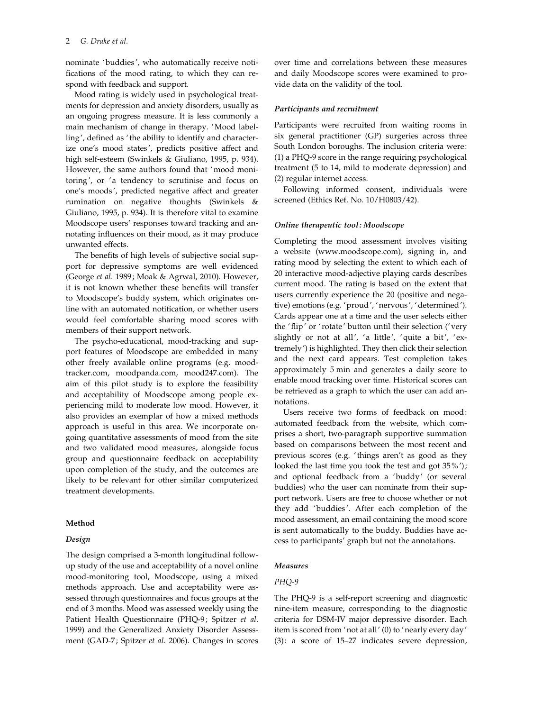nominate 'buddies', who automatically receive notifications of the mood rating, to which they can respond with feedback and support.

Mood rating is widely used in psychological treatments for depression and anxiety disorders, usually as an ongoing progress measure. It is less commonly a main mechanism of change in therapy. 'Mood labelling', defined as ' the ability to identify and characterize one's mood states', predicts positive affect and high self-esteem (Swinkels & Giuliano, 1995, p. 934). However, the same authors found that 'mood monitoring', or 'a tendency to scrutinise and focus on one's moods', predicted negative affect and greater rumination on negative thoughts (Swinkels & Giuliano, 1995, p. 934). It is therefore vital to examine Moodscope users' responses toward tracking and annotating influences on their mood, as it may produce unwanted effects.

The benefits of high levels of subjective social support for depressive symptoms are well evidenced (George et al. 1989; Moak & Agrwal, 2010). However, it is not known whether these benefits will transfer to Moodscope's buddy system, which originates online with an automated notification, or whether users would feel comfortable sharing mood scores with members of their support network.

The psycho-educational, mood-tracking and support features of Moodscope are embedded in many other freely available online programs (e.g. moodtracker.com, moodpanda.com, mood247.com). The aim of this pilot study is to explore the feasibility and acceptability of Moodscope among people experiencing mild to moderate low mood. However, it also provides an exemplar of how a mixed methods approach is useful in this area. We incorporate ongoing quantitative assessments of mood from the site and two validated mood measures, alongside focus group and questionnaire feedback on acceptability upon completion of the study, and the outcomes are likely to be relevant for other similar computerized treatment developments.

# Method

#### Design

The design comprised a 3-month longitudinal followup study of the use and acceptability of a novel online mood-monitoring tool, Moodscope, using a mixed methods approach. Use and acceptability were assessed through questionnaires and focus groups at the end of 3 months. Mood was assessed weekly using the Patient Health Questionnaire (PHQ-9; Spitzer et al. 1999) and the Generalized Anxiety Disorder Assessment (GAD-7; Spitzer et al. 2006). Changes in scores over time and correlations between these measures and daily Moodscope scores were examined to provide data on the validity of the tool.

#### Participants and recruitment

Participants were recruited from waiting rooms in six general practitioner (GP) surgeries across three South London boroughs. The inclusion criteria were: (1) a PHQ-9 score in the range requiring psychological treatment (5 to 14, mild to moderate depression) and (2) regular internet access.

Following informed consent, individuals were screened (Ethics Ref. No. 10/H0803/42).

#### Online therapeutic tool: Moodscope

Completing the mood assessment involves visiting a website (www.moodscope.com), signing in, and rating mood by selecting the extent to which each of 20 interactive mood-adjective playing cards describes current mood. The rating is based on the extent that users currently experience the 20 (positive and negative) emotions (e.g. 'proud', 'nervous', 'determined'). Cards appear one at a time and the user selects either the 'flip' or ' rotate' button until their selection (' very slightly or not at all', 'a little', 'quite a bit', 'extremely') is highlighted. They then click their selection and the next card appears. Test completion takes approximately 5 min and generates a daily score to enable mood tracking over time. Historical scores can be retrieved as a graph to which the user can add annotations.

Users receive two forms of feedback on mood: automated feedback from the website, which comprises a short, two-paragraph supportive summation based on comparisons between the most recent and previous scores (e.g. ' things aren't as good as they looked the last time you took the test and got 35%'); and optional feedback from a 'buddy' (or several buddies) who the user can nominate from their support network. Users are free to choose whether or not they add 'buddies'. After each completion of the mood assessment, an email containing the mood score is sent automatically to the buddy. Buddies have access to participants' graph but not the annotations.

#### Measures

# PHO-9

The PHQ-9 is a self-report screening and diagnostic nine-item measure, corresponding to the diagnostic criteria for DSM-IV major depressive disorder. Each item is scored from 'not at all' (0) to 'nearly every day' (3): a score of 15–27 indicates severe depression,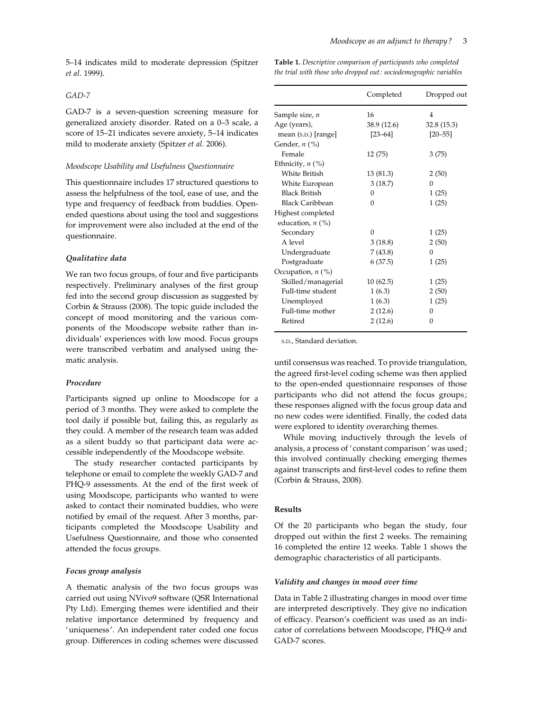5–14 indicates mild to moderate depression (Spitzer et al. 1999).

# GAD-7

GAD-7 is a seven-question screening measure for generalized anxiety disorder. Rated on a 0–3 scale, a score of 15–21 indicates severe anxiety, 5–14 indicates mild to moderate anxiety (Spitzer et al. 2006).

# Moodscope Usability and Usefulness Questionnaire

This questionnaire includes 17 structured questions to assess the helpfulness of the tool, ease of use, and the type and frequency of feedback from buddies. Openended questions about using the tool and suggestions for improvement were also included at the end of the questionnaire.

#### Qualitative data

We ran two focus groups, of four and five participants respectively. Preliminary analyses of the first group fed into the second group discussion as suggested by Corbin & Strauss (2008). The topic guide included the concept of mood monitoring and the various components of the Moodscope website rather than individuals' experiences with low mood. Focus groups were transcribed verbatim and analysed using thematic analysis.

#### Procedure

Participants signed up online to Moodscope for a period of 3 months. They were asked to complete the tool daily if possible but, failing this, as regularly as they could. A member of the research team was added as a silent buddy so that participant data were accessible independently of the Moodscope website.

The study researcher contacted participants by telephone or email to complete the weekly GAD-7 and PHQ-9 assessments. At the end of the first week of using Moodscope, participants who wanted to were asked to contact their nominated buddies, who were notified by email of the request. After 3 months, participants completed the Moodscope Usability and Usefulness Questionnaire, and those who consented attended the focus groups.

#### Focus group analysis

A thematic analysis of the two focus groups was carried out using NVivo9 software (QSR International Pty Ltd). Emerging themes were identified and their relative importance determined by frequency and 'uniqueness'. An independent rater coded one focus group. Differences in coding schemes were discussed Table 1. Descriptive comparison of participants who completed the trial with those who dropped out : sociodemographic variables

|                        | Completed   | Dropped out    |
|------------------------|-------------|----------------|
| Sample size, n         | 16          | 4              |
| Age (years),           | 38.9 (12.6) | 32.8 (15.3)    |
| mean (s.D.) [range]    | $[23 - 64]$ | $[20 - 55]$    |
| Gender, $n$ (%)        |             |                |
| Female                 | 12 (75)     | 3(75)          |
| Ethnicity, $n$ (%)     |             |                |
| <b>White British</b>   | 13 (81.3)   | 2(50)          |
| White European         | 3(18.7)     | $\theta$       |
| <b>Black British</b>   | 0           | 1(25)          |
| <b>Black Caribbean</b> | $\Omega$    | 1(25)          |
| Highest completed      |             |                |
| education, $n$ (%)     |             |                |
| Secondary              | 0           | 1(25)          |
| A level                | 3(18.8)     | 2(50)          |
| Undergraduate          | 7(43.8)     | 0              |
| Postgraduate           | 6(37.5)     | 1(25)          |
| Occupation, $n$ (%)    |             |                |
| Skilled/managerial     | 10(62.5)    | 1(25)          |
| Full-time student      | 1(6.3)      | 2(50)          |
| Unemployed             | 1(6.3)      | 1(25)          |
| Full-time mother       | 2(12.6)     | 0              |
| Retired                | 2(12.6)     | $\overline{0}$ |
|                        |             |                |

S.D., Standard deviation.

until consensus was reached. To provide triangulation, the agreed first-level coding scheme was then applied to the open-ended questionnaire responses of those participants who did not attend the focus groups; these responses aligned with the focus group data and no new codes were identified. Finally, the coded data were explored to identity overarching themes.

While moving inductively through the levels of analysis, a process of 'constant comparison' was used; this involved continually checking emerging themes against transcripts and first-level codes to refine them (Corbin & Strauss, 2008).

#### Results

Of the 20 participants who began the study, four dropped out within the first 2 weeks. The remaining 16 completed the entire 12 weeks. Table 1 shows the demographic characteristics of all participants.

#### Validity and changes in mood over time

Data in Table 2 illustrating changes in mood over time are interpreted descriptively. They give no indication of efficacy. Pearson's coefficient was used as an indicator of correlations between Moodscope, PHQ-9 and GAD-7 scores.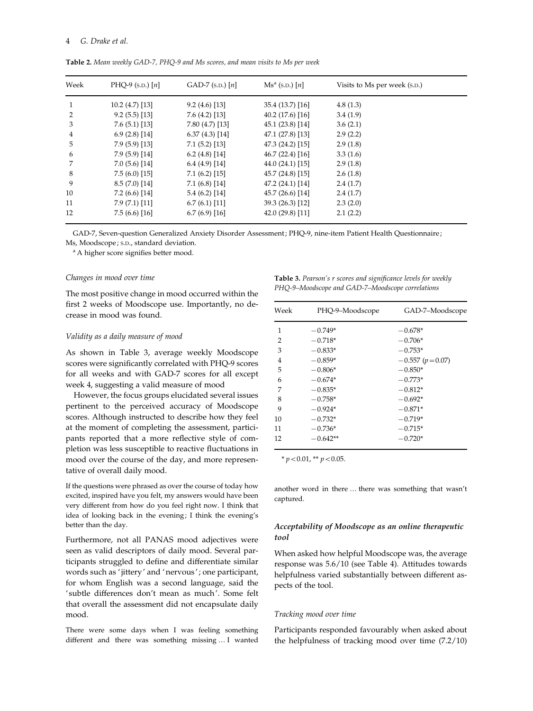| Week | PHQ-9 $(s.D.)$ [n] | $GAD-7$ (s.p.) $[n]$ | $Ms^a$ (s.p.) $[n]$ | Visits to Ms per week (s.p.) |
|------|--------------------|----------------------|---------------------|------------------------------|
| 1    | $10.2$ (4.7) [13]  | 9.2(4.6)[13]         | 35.4 (13.7) [16]    | 4.8(1.3)                     |
| 2    | 9.2(5.5)[13]       | 7.6(4.2)[13]         | 40.2(17.6)[16]      | 3.4(1.9)                     |
| 3    | 7.6(5.1)[13]       | 7.80 (4.7) [13]      | 45.1(23.8)[14]      | 3.6(2.1)                     |
| 4    | 6.9(2.8)[14]       | 6.37(4.3)[14]        | 47.1 (27.8) [13]    | 2.9(2.2)                     |
| 5    | 7.9(5.9)[13]       | 7.1(5.2)[13]         | 47.3 (24.2) [15]    | 2.9(1.8)                     |
| 6    | 7.9(5.9)[14]       | $6.2$ (4.8) [14]     | 46.7(22.4)[16]      | 3.3(1.6)                     |
|      | 7.0(5.6)[14]       | 6.4(4.9)[14]         | 44.0(24.1)[15]      | 2.9(1.8)                     |
| 8    | 7.5(6.0)[15]       | 7.1(6.2)[15]         | 45.7 (24.8) [15]    | 2.6(1.8)                     |
| 9    | 8.5(7.0)[14]       | 7.1(6.8)[14]         | 47.2(24.1)[14]      | 2.4(1.7)                     |
| 10   | 7.2(6.6)[14]       | 5.4(6.2)[14]         | 45.7(26.6)[14]      | 2.4(1.7)                     |
| 11   | 7.9(7.1)[11]       | 6.7(6.1)[11]         | 39.3 (26.3) [12]    | 2.3(2.0)                     |
| 12   | 7.5(6.6)[16]       | 6.7(6.9)[16]         | 42.0 $(29.8)$ [11]  | 2.1(2.2)                     |

Table 2. Mean weekly GAD-7, PHQ-9 and Ms scores, and mean visits to Ms per week

GAD-7, Seven-question Generalized Anxiety Disorder Assessment ; PHQ-9, nine-item Patient Health Questionnaire ; Ms, Moodscope ; S.D., standard deviation.

<sup>a</sup> A higher score signifies better mood.

#### Changes in mood over time

The most positive change in mood occurred within the first 2 weeks of Moodscope use. Importantly, no decrease in mood was found.

#### Validity as a daily measure of mood

As shown in Table 3, average weekly Moodscope scores were significantly correlated with PHQ-9 scores for all weeks and with GAD-7 scores for all except week 4, suggesting a valid measure of mood

However, the focus groups elucidated several issues pertinent to the perceived accuracy of Moodscope scores. Although instructed to describe how they feel at the moment of completing the assessment, participants reported that a more reflective style of completion was less susceptible to reactive fluctuations in mood over the course of the day, and more representative of overall daily mood.

If the questions were phrased as over the course of today how excited, inspired have you felt, my answers would have been very different from how do you feel right now. I think that idea of looking back in the evening; I think the evening's better than the day.

Furthermore, not all PANAS mood adjectives were seen as valid descriptors of daily mood. Several participants struggled to define and differentiate similar words such as ' jittery' and ' nervous'; one participant, for whom English was a second language, said the ' subtle differences don't mean as much'. Some felt that overall the assessment did not encapsulate daily mood.

There were some days when I was feeling something different and there was something missing … I wanted

Table 3. Pearson's r scores and significance levels for weekly PHQ-9–Moodscope and GAD-7–Moodscope correlations

| Week           | PHQ-9-Moodscope | GAD-7-Moodscope         |
|----------------|-----------------|-------------------------|
| 1              | $-0.749*$       | $-0.678*$               |
| $\overline{2}$ | $-0.718*$       | $-0.706*$               |
| 3              | $-0.833*$       | $-0.753*$               |
| 4              | $-0.859*$       | $-0.557$ ( $p = 0.07$ ) |
| 5              | $-0.806*$       | $-0.850*$               |
| 6              | $-0.674*$       | $-0.773*$               |
| 7              | $-0.835*$       | $-0.812*$               |
| 8              | $-0.758*$       | $-0.692*$               |
| 9              | $-0.924*$       | $-0.871*$               |
| 10             | $-0.732*$       | $-0.719*$               |
| 11             | $-0.736*$       | $-0.715*$               |
| 12             | $-0.642**$      | $-0.720*$               |

 $* p < 0.01$ ,  $* p < 0.05$ .

another word in there … there was something that wasn't captured.

# Acceptability of Moodscope as an online therapeutic tool

When asked how helpful Moodscope was, the average response was 5.6/10 (see Table 4). Attitudes towards helpfulness varied substantially between different aspects of the tool.

# Tracking mood over time

Participants responded favourably when asked about the helpfulness of tracking mood over time (7.2/10)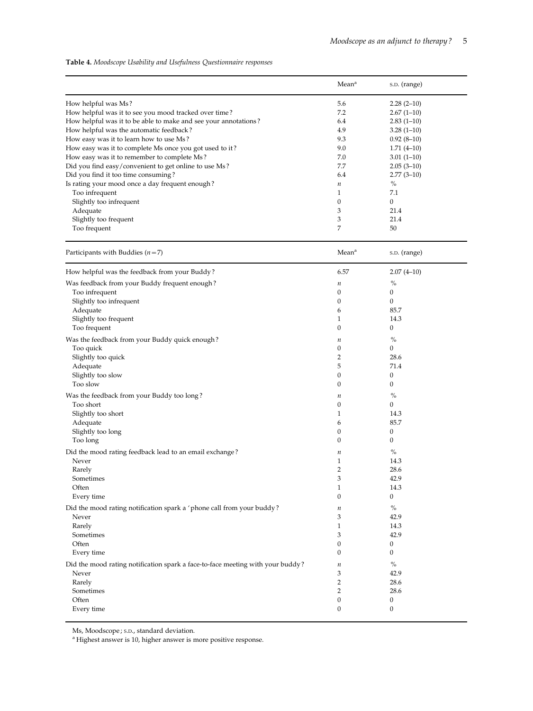Table 4. Moodscope Usability and Usefulness Questionnaire responses

|                                                                 | Mean <sup>a</sup> | s. <sub>D</sub> . (range) |
|-----------------------------------------------------------------|-------------------|---------------------------|
| How helpful was Ms?                                             | 5.6               | $2.28(2-10)$              |
| How helpful was it to see you mood tracked over time?           | 7.2               | $2.67(1-10)$              |
| How helpful was it to be able to make and see your annotations? | 6.4               | $2.83(1-10)$              |
| How helpful was the automatic feedback?                         | 4.9               | $3.28(1-10)$              |
| How easy was it to learn how to use Ms?                         | 9.3               | $0.92(8-10)$              |
| How easy was it to complete Ms once you got used to it?         | 9.0               | $1.71(4-10)$              |
| How easy was it to remember to complete Ms?                     | 7.0               | $3.01(1-10)$              |
| Did you find easy/convenient to get online to use Ms?           | 7.7               | $2.05(3-10)$              |
| Did you find it too time consuming?                             | 6.4               | $2.77(3-10)$              |
| Is rating your mood once a day frequent enough?                 | $\boldsymbol{n}$  | $\%$                      |
| Too infrequent                                                  |                   | 7.1                       |
| Slightly too infrequent                                         | $\Omega$          | $\mathbf{0}$              |
| Adequate                                                        | 3                 | 21.4                      |
| Slightly too frequent                                           | 3                 | 21.4                      |
| Too frequent                                                    | 7                 | 50                        |

| 6.57             | $2.07(4-10)$     |
|------------------|------------------|
|                  |                  |
| п                | $\%$             |
| $\boldsymbol{0}$ | $\boldsymbol{0}$ |
| $\boldsymbol{0}$ | $\mathbf{0}$     |
| 6                | 85.7             |
| 1                | 14.3             |
| $\mathbf{0}$     | $\mathbf{0}$     |
| п                | $\%$             |
| $\mathbf{0}$     | $\boldsymbol{0}$ |
| 2                | 28.6             |
| 5                | 71.4             |
| $\mathbf{0}$     | $\boldsymbol{0}$ |
| $\mathbf{0}$     | $\mathbf{0}$     |
| п                | $\%$             |
| $\boldsymbol{0}$ | $\mathbf{0}$     |
| 1                | 14.3             |
| 6                | 85.7             |
| $\mathbf{0}$     | $\mathbf{0}$     |
| $\mathbf{0}$     | $\mathbf{0}$     |
| $\boldsymbol{n}$ | $\%$             |
| 1                | 14.3             |
| $\overline{2}$   | 28.6             |
| 3                | 42.9             |
| 1                | 14.3             |
| $\mathbf{0}$     | $\mathbf{0}$     |
| $\boldsymbol{n}$ | $\%$             |
| 3                | 42.9             |
| $\mathbf{1}$     | 14.3             |
| 3                | 42.9             |
| 0                | $\mathbf{0}$     |
| $\mathbf{0}$     | $\boldsymbol{0}$ |
| $\boldsymbol{n}$ | $\%$             |
| 3                | 42.9             |
| 2                | 28.6             |
| 2                | 28.6             |
| $\boldsymbol{0}$ | $\boldsymbol{0}$ |
| $\boldsymbol{0}$ | $\mathbf{0}$     |
|                  |                  |

Ms, Moodscope ; S.D., standard deviation.

<sup>a</sup> Highest answer is 10, higher answer is more positive response.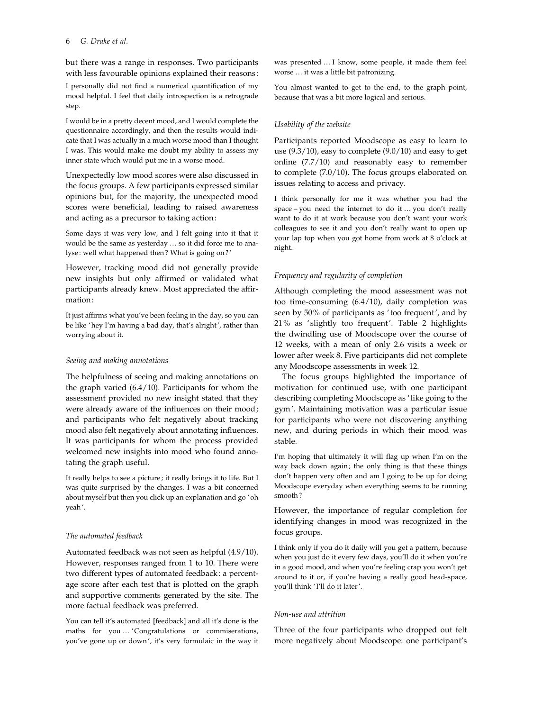but there was a range in responses. Two participants with less favourable opinions explained their reasons:

I personally did not find a numerical quantification of my mood helpful. I feel that daily introspection is a retrograde step.

I would be in a pretty decent mood, and I would complete the questionnaire accordingly, and then the results would indicate that I was actually in a much worse mood than I thought I was. This would make me doubt my ability to assess my inner state which would put me in a worse mood.

Unexpectedly low mood scores were also discussed in the focus groups. A few participants expressed similar opinions but, for the majority, the unexpected mood scores were beneficial, leading to raised awareness and acting as a precursor to taking action:

Some days it was very low, and I felt going into it that it would be the same as yesterday … so it did force me to analyse: well what happened then? What is going on?'

However, tracking mood did not generally provide new insights but only affirmed or validated what participants already knew. Most appreciated the affirmation:

It just affirms what you've been feeling in the day, so you can be like 'hey I'm having a bad day, that's alright', rather than worrying about it.

# Seeing and making annotations

The helpfulness of seeing and making annotations on the graph varied (6.4/10). Participants for whom the assessment provided no new insight stated that they were already aware of the influences on their mood; and participants who felt negatively about tracking mood also felt negatively about annotating influences. It was participants for whom the process provided welcomed new insights into mood who found annotating the graph useful.

It really helps to see a picture ; it really brings it to life. But I was quite surprised by the changes. I was a bit concerned about myself but then you click up an explanation and go ' oh yeah'.

# The automated feedback

Automated feedback was not seen as helpful (4.9/10). However, responses ranged from 1 to 10. There were two different types of automated feedback: a percentage score after each test that is plotted on the graph and supportive comments generated by the site. The more factual feedback was preferred.

You can tell it's automated [feedback] and all it's done is the maths for you ... 'Congratulations or commiserations, you've gone up or down', it's very formulaic in the way it was presented … I know, some people, it made them feel worse … it was a little bit patronizing.

You almost wanted to get to the end, to the graph point, because that was a bit more logical and serious.

#### Usability of the website

Participants reported Moodscope as easy to learn to use  $(9.3/10)$ , easy to complete  $(9.0/10)$  and easy to get online (7.7/10) and reasonably easy to remember to complete (7.0/10). The focus groups elaborated on issues relating to access and privacy.

I think personally for me it was whether you had the space – you need the internet to do it … you don't really want to do it at work because you don't want your work colleagues to see it and you don't really want to open up your lap top when you got home from work at 8 o'clock at night.

# Frequency and regularity of completion

Although completing the mood assessment was not too time-consuming (6.4/10), daily completion was seen by 50% of participants as ' too frequent', and by 21% as ' slightly too frequent'. Table 2 highlights the dwindling use of Moodscope over the course of 12 weeks, with a mean of only 2.6 visits a week or lower after week 8. Five participants did not complete any Moodscope assessments in week 12.

The focus groups highlighted the importance of motivation for continued use, with one participant describing completing Moodscope as 'like going to the gym'. Maintaining motivation was a particular issue for participants who were not discovering anything new, and during periods in which their mood was stable.

I'm hoping that ultimately it will flag up when I'm on the way back down again; the only thing is that these things don't happen very often and am I going to be up for doing Moodscope everyday when everything seems to be running smooth ?

However, the importance of regular completion for identifying changes in mood was recognized in the focus groups.

I think only if you do it daily will you get a pattern, because when you just do it every few days, you'll do it when you're in a good mood, and when you're feeling crap you won't get around to it or, if you're having a really good head-space, you'll think ' I'll do it later'.

# Non-use and attrition

Three of the four participants who dropped out felt more negatively about Moodscope: one participant's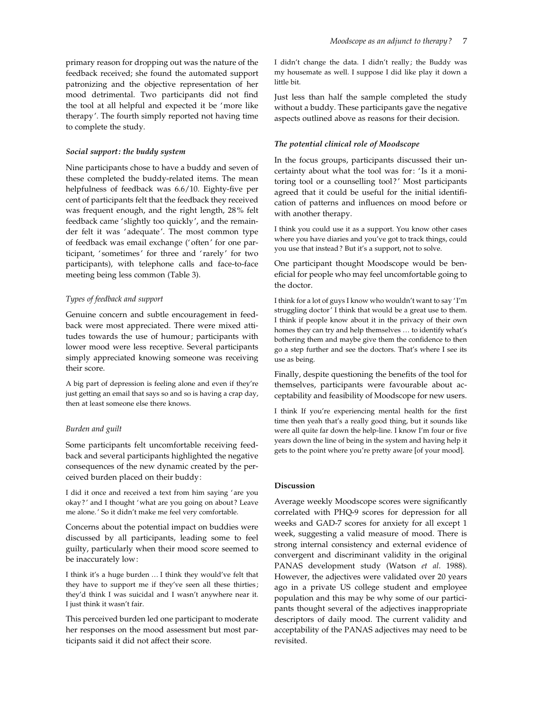primary reason for dropping out was the nature of the feedback received; she found the automated support patronizing and the objective representation of her mood detrimental. Two participants did not find the tool at all helpful and expected it be 'more like therapy'. The fourth simply reported not having time to complete the study.

#### Social support: the buddy system

Nine participants chose to have a buddy and seven of these completed the buddy-related items. The mean helpfulness of feedback was 6.6/10. Eighty-five per cent of participants felt that the feedback they received was frequent enough, and the right length, 28% felt feedback came ' slightly too quickly', and the remainder felt it was ' adequate'. The most common type of feedback was email exchange (' often' for one participant, ' sometimes' for three and ' rarely' for two participants), with telephone calls and face-to-face meeting being less common (Table 3).

# Types of feedback and support

Genuine concern and subtle encouragement in feedback were most appreciated. There were mixed attitudes towards the use of humour; participants with lower mood were less receptive. Several participants simply appreciated knowing someone was receiving their score.

A big part of depression is feeling alone and even if they're just getting an email that says so and so is having a crap day, then at least someone else there knows.

# Burden and guilt

Some participants felt uncomfortable receiving feedback and several participants highlighted the negative consequences of the new dynamic created by the perceived burden placed on their buddy:

I did it once and received a text from him saying ' are you okay ?' and I thought 'what are you going on about ? Leave me alone.' So it didn't make me feel very comfortable.

Concerns about the potential impact on buddies were discussed by all participants, leading some to feel guilty, particularly when their mood score seemed to be inaccurately low:

I think it's a huge burden … I think they would've felt that they have to support me if they've seen all these thirties; they'd think I was suicidal and I wasn't anywhere near it. I just think it wasn't fair.

This perceived burden led one participant to moderate her responses on the mood assessment but most participants said it did not affect their score.

I didn't change the data. I didn't really; the Buddy was my housemate as well. I suppose I did like play it down a little bit.

Just less than half the sample completed the study without a buddy. These participants gave the negative aspects outlined above as reasons for their decision.

### The potential clinical role of Moodscope

In the focus groups, participants discussed their uncertainty about what the tool was for: ' Is it a monitoring tool or a counselling tool ?' Most participants agreed that it could be useful for the initial identification of patterns and influences on mood before or with another therapy.

I think you could use it as a support. You know other cases where you have diaries and you've got to track things, could you use that instead ? But it's a support, not to solve.

One participant thought Moodscope would be beneficial for people who may feel uncomfortable going to the doctor.

I think for a lot of guys I know who wouldn't want to say ' I'm struggling doctor' I think that would be a great use to them. I think if people know about it in the privacy of their own homes they can try and help themselves … to identify what's bothering them and maybe give them the confidence to then go a step further and see the doctors. That's where I see its use as being.

Finally, despite questioning the benefits of the tool for themselves, participants were favourable about acceptability and feasibility of Moodscope for new users.

I think If you're experiencing mental health for the first time then yeah that's a really good thing, but it sounds like were all quite far down the help-line. I know I'm four or five years down the line of being in the system and having help it gets to the point where you're pretty aware [of your mood].

#### Discussion

Average weekly Moodscope scores were significantly correlated with PHQ-9 scores for depression for all weeks and GAD-7 scores for anxiety for all except 1 week, suggesting a valid measure of mood. There is strong internal consistency and external evidence of convergent and discriminant validity in the original PANAS development study (Watson et al. 1988). However, the adjectives were validated over 20 years ago in a private US college student and employee population and this may be why some of our participants thought several of the adjectives inappropriate descriptors of daily mood. The current validity and acceptability of the PANAS adjectives may need to be revisited.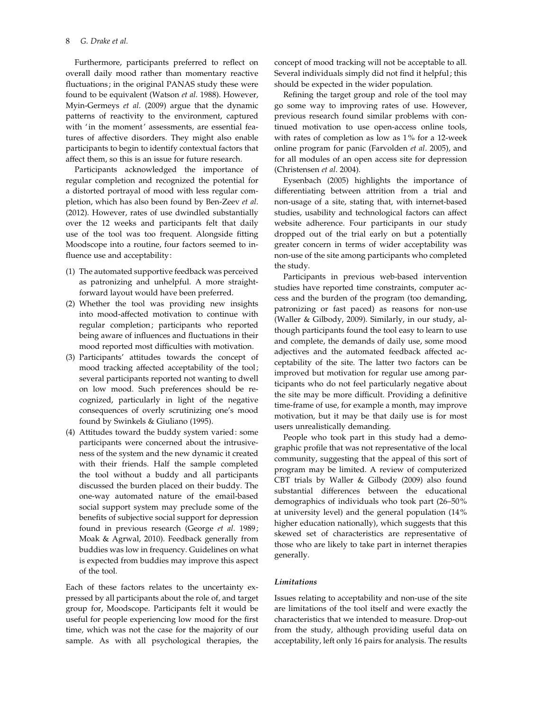Furthermore, participants preferred to reflect on overall daily mood rather than momentary reactive fluctuations; in the original PANAS study these were found to be equivalent (Watson et al. 1988). However, Myin-Germeys et al. (2009) argue that the dynamic patterns of reactivity to the environment, captured with 'in the moment' assessments, are essential features of affective disorders. They might also enable participants to begin to identify contextual factors that affect them, so this is an issue for future research.

Participants acknowledged the importance of regular completion and recognized the potential for a distorted portrayal of mood with less regular completion, which has also been found by Ben-Zeev et al. (2012). However, rates of use dwindled substantially over the 12 weeks and participants felt that daily use of the tool was too frequent. Alongside fitting Moodscope into a routine, four factors seemed to influence use and acceptability:

- (1) The automated supportive feedback was perceived as patronizing and unhelpful. A more straightforward layout would have been preferred.
- (2) Whether the tool was providing new insights into mood-affected motivation to continue with regular completion; participants who reported being aware of influences and fluctuations in their mood reported most difficulties with motivation.
- (3) Participants' attitudes towards the concept of mood tracking affected acceptability of the tool; several participants reported not wanting to dwell on low mood. Such preferences should be recognized, particularly in light of the negative consequences of overly scrutinizing one's mood found by Swinkels & Giuliano (1995).
- (4) Attitudes toward the buddy system varied: some participants were concerned about the intrusiveness of the system and the new dynamic it created with their friends. Half the sample completed the tool without a buddy and all participants discussed the burden placed on their buddy. The one-way automated nature of the email-based social support system may preclude some of the benefits of subjective social support for depression found in previous research (George et al. 1989; Moak & Agrwal, 2010). Feedback generally from buddies was low in frequency. Guidelines on what is expected from buddies may improve this aspect of the tool.

Each of these factors relates to the uncertainty expressed by all participants about the role of, and target group for, Moodscope. Participants felt it would be useful for people experiencing low mood for the first time, which was not the case for the majority of our sample. As with all psychological therapies, the concept of mood tracking will not be acceptable to all. Several individuals simply did not find it helpful; this should be expected in the wider population.

Refining the target group and role of the tool may go some way to improving rates of use. However, previous research found similar problems with continued motivation to use open-access online tools, with rates of completion as low as 1% for a 12-week online program for panic (Farvolden et al. 2005), and for all modules of an open access site for depression (Christensen et al. 2004).

Eysenbach (2005) highlights the importance of differentiating between attrition from a trial and non-usage of a site, stating that, with internet-based studies, usability and technological factors can affect website adherence. Four participants in our study dropped out of the trial early on but a potentially greater concern in terms of wider acceptability was non-use of the site among participants who completed the study.

Participants in previous web-based intervention studies have reported time constraints, computer access and the burden of the program (too demanding, patronizing or fast paced) as reasons for non-use (Waller & Gilbody, 2009). Similarly, in our study, although participants found the tool easy to learn to use and complete, the demands of daily use, some mood adjectives and the automated feedback affected acceptability of the site. The latter two factors can be improved but motivation for regular use among participants who do not feel particularly negative about the site may be more difficult. Providing a definitive time-frame of use, for example a month, may improve motivation, but it may be that daily use is for most users unrealistically demanding.

People who took part in this study had a demographic profile that was not representative of the local community, suggesting that the appeal of this sort of program may be limited. A review of computerized CBT trials by Waller & Gilbody (2009) also found substantial differences between the educational demographics of individuals who took part (26–50% at university level) and the general population (14% higher education nationally), which suggests that this skewed set of characteristics are representative of those who are likely to take part in internet therapies generally.

# Limitations

Issues relating to acceptability and non-use of the site are limitations of the tool itself and were exactly the characteristics that we intended to measure. Drop-out from the study, although providing useful data on acceptability, left only 16 pairs for analysis. The results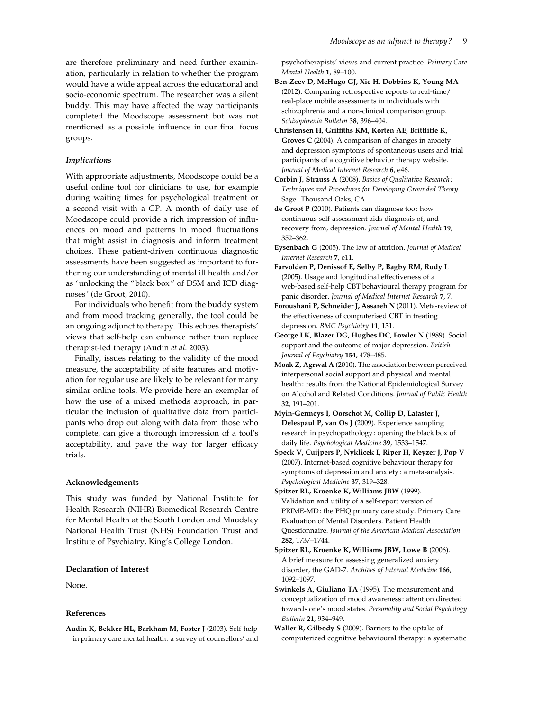#### Implications

With appropriate adjustments, Moodscope could be a useful online tool for clinicians to use, for example during waiting times for psychological treatment or a second visit with a GP. A month of daily use of Moodscope could provide a rich impression of influences on mood and patterns in mood fluctuations that might assist in diagnosis and inform treatment choices. These patient-driven continuous diagnostic assessments have been suggested as important to furthering our understanding of mental ill health and/or as 'unlocking the " black box " of DSM and ICD diagnoses' (de Groot, 2010).

For individuals who benefit from the buddy system and from mood tracking generally, the tool could be an ongoing adjunct to therapy. This echoes therapists' views that self-help can enhance rather than replace therapist-led therapy (Audin et al. 2003).

Finally, issues relating to the validity of the mood measure, the acceptability of site features and motivation for regular use are likely to be relevant for many similar online tools. We provide here an exemplar of how the use of a mixed methods approach, in particular the inclusion of qualitative data from participants who drop out along with data from those who complete, can give a thorough impression of a tool's acceptability, and pave the way for larger efficacy trials.

#### Acknowledgements

This study was funded by National Institute for Health Research (NIHR) Biomedical Research Centre for Mental Health at the South London and Maudsley National Health Trust (NHS) Foundation Trust and Institute of Psychiatry, King's College London.

### Declaration of Interest

None.

#### References

Audin K, Bekker HL, Barkham M, Foster J (2003). Self-help in primary care mental health: a survey of counsellors' and psychotherapists' views and current practice. Primary Care Mental Health 1, 89–100.

- Ben-Zeev D, McHugo GJ, Xie H, Dobbins K, Young MA (2012). Comparing retrospective reports to real-time/ real-place mobile assessments in individuals with schizophrenia and a non-clinical comparison group. Schizophrenia Bulletin 38, 396–404.
- Christensen H, Griffiths KM, Korten AE, Brittliffe K, Groves C (2004). A comparison of changes in anxiety and depression symptoms of spontaneous users and trial participants of a cognitive behavior therapy website. Journal of Medical Internet Research 6, e46.
- Corbin J, Strauss A (2008). Basics of Qualitative Research : Techniques and Procedures for Developing Grounded Theory. Sage : Thousand Oaks, CA.
- de Groot P (2010). Patients can diagnose too: how continuous self-assessment aids diagnosis of, and recovery from, depression. Journal of Mental Health 19, 352–362.
- Eysenbach G (2005). The law of attrition. Journal of Medical Internet Research 7, e11.
- Farvolden P, Denissof E, Selby P, Bagby RM, Rudy L (2005). Usage and longitudinal effectiveness of a web-based self-help CBT behavioural therapy program for panic disorder. Journal of Medical Internet Research 7, 7.
- Foroushani P, Schneider J, Assareh N (2011). Meta-review of the effectiveness of computerised CBT in treating depression. BMC Psychiatry 11, 131.
- George LK, Blazer DG, Hughes DC, Fowler N (1989). Social support and the outcome of major depression. British Journal of Psychiatry 154, 478–485.
- Moak Z, Agrwal A (2010). The association between perceived interpersonal social support and physical and mental health: results from the National Epidemiological Survey on Alcohol and Related Conditions. Journal of Public Health 32, 191–201.
- Myin-Germeys I, Oorschot M, Collip D, Lataster J, Delespaul P, van Os J (2009). Experience sampling research in psychopathology : opening the black box of daily life. Psychological Medicine 39, 1533–1547.
- Speck V, Cuijpers P, Nyklicek I, Riper H, Keyzer J, Pop V (2007). Internet-based cognitive behaviour therapy for symptoms of depression and anxiety: a meta-analysis. Psychological Medicine 37, 319–328.
- Spitzer RL, Kroenke K, Williams JBW (1999). Validation and utility of a self-report version of PRIME-MD: the PHQ primary care study. Primary Care Evaluation of Mental Disorders. Patient Health Questionnaire. Journal of the American Medical Association 282, 1737–1744.
- Spitzer RL, Kroenke K, Williams JBW, Lowe B (2006). A brief measure for assessing generalized anxiety disorder, the GAD-7. Archives of Internal Medicine 166, 1092–1097.
- Swinkels A, Giuliano TA (1995). The measurement and conceptualization of mood awareness : attention directed towards one's mood states. Personality and Social Psychology Bulletin 21, 934–949.
- Waller R, Gilbody S (2009). Barriers to the uptake of computerized cognitive behavioural therapy : a systematic